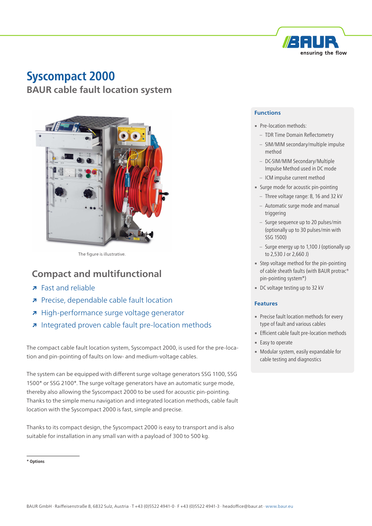

# **Syscompact 2000 BAUR cable fault location system**



The figure is illustrative.

## **Compact and multifunctional**

- **↗** Fast and reliable
- **↗** Precise, dependable cable fault location
- **↗** High-performance surge voltage generator
- **↗** Integrated proven cable fault pre-location methods

The compact cable fault location system, Syscompact 2000, is used for the pre-location and pin-pointing of faults on low- and medium-voltage cables.

The system can be equipped with different surge voltage generators SSG 1100, SSG 1500\* or SSG 2100\*. The surge voltage generators have an automatic surge mode, thereby also allowing the Syscompact 2000 to be used for acoustic pin-pointing. Thanks to the simple menu navigation and integrated location methods, cable fault location with the Syscompact 2000 is fast, simple and precise.

Thanks to its compact design, the Syscompact 2000 is easy to transport and is also suitable for installation in any small van with a payload of 300 to 500 kg.

## **Functions**

- Pre-location methods:
	- TDR Time Domain Reflectometry
	- SIM/MIM secondary/multiple impulse method
	- DC-SIM/MIM Secondary/Multiple Impulse Method used in DC mode
	- ICM impulse current method
- **Example 1** Surge mode for acoustic pin-pointing
	- Three voltage range: 8, 16 and 32 kV
	- Automatic surge mode and manual triggering
	- Surge sequence up to 20 pulses/min (optionally up to 30 pulses/min with SSG 1500)
	- Surge energy up to 1,100 J (optionally up to 2,530 J or 2,660 J)
- **EXECT:** Step voltage method for the pin-pointing of cable sheath faults (with BAUR protrac® pin-pointing system\*)
- DC voltage testing up to 32 kV

### **Features**

- **Precise fault location methods for every** type of fault and various cables
- **Efficient cable fault pre-location methods**
- Easy to operate
- **Modular system, easily expandable for** cable testing and diagnostics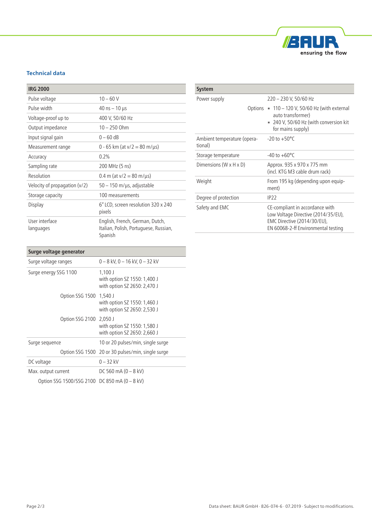

## **Technical data**

| <b>IRG 2000</b>                 |                                                                                     |
|---------------------------------|-------------------------------------------------------------------------------------|
| Pulse voltage                   | $10 - 60$ V                                                                         |
| Pulse width                     | $40$ ns $-10$ µs                                                                    |
| Voltage-proof up to             | 400 V, 50/60 Hz                                                                     |
| Output impedance                | $10 - 250$ Ohm                                                                      |
| Input signal gain               | $0 - 60$ dB                                                                         |
| Measurement range               | 0 - 65 km (at $v/2 = 80$ m/ $\mu s$ )                                               |
| Accuracy                        | 0.2%                                                                                |
| Sampling rate                   | 200 MHz (5 ns)                                                                      |
| Resolution                      | $0.4$ m (at v/2 = 80 m/µs)                                                          |
| Velocity of propagation $(v/2)$ | $50 - 150$ m/ $\mu s$ , adjustable                                                  |
| Storage capacity                | 100 measurements                                                                    |
| Display                         | 6" LCD, screen resolution 320 x 240<br>pixels                                       |
| User interface<br>languages     | English, French, German, Dutch,<br>Italian, Polish, Portuguese, Russian,<br>Spanish |

| <b>System</b>                          |                                                                                                                                              |
|----------------------------------------|----------------------------------------------------------------------------------------------------------------------------------------------|
| Power supply                           | 220 - 230 V, 50/60 Hz                                                                                                                        |
|                                        | Options = 110 - 120 V, 50/60 Hz (with external<br>auto transformer)<br>240 V, 50/60 Hz (with conversion kit<br>for mains supply)             |
| Ambient temperature (opera-<br>tional) | $-20$ to $+50^{\circ}$ C                                                                                                                     |
| Storage temperature                    | $-40$ to $+60^{\circ}$ C                                                                                                                     |
| Dimensions (W x H x D)                 | Approx. 935 x 970 x 775 mm<br>(incl. KTG M3 cable drum rack)                                                                                 |
| Weight                                 | From 195 kg (depending upon equip-<br>ment)                                                                                                  |
| Degree of protection                   | IP22                                                                                                                                         |
| Safety and EMC                         | CE-compliant in accordance with<br>Low Voltage Directive (2014/35/EU),<br>EMC Directive (2014/30/EU),<br>EN 60068-2-ff Environmental testing |

## **Surge voltage generator**

| Surge voltage ranges                          | $0 - 8$ kV, $0 - 16$ kV, $0 - 32$ kV                                      |
|-----------------------------------------------|---------------------------------------------------------------------------|
| Surge energy SSG 1100                         | $1,100$ J<br>with option SZ 1550: 1,400 J<br>with option SZ 2650: 2,470 J |
| Option SSG 1500                               | 1,540 J<br>with option SZ 1550: 1,460 J<br>with option SZ 2650: 2,530 J   |
| Option SSG 2100 2,050 J                       | with option SZ 1550: 1,580 J<br>with option SZ 2650: 2,660 J              |
| Surge sequence                                | 10 or 20 pulses/min, single surge                                         |
|                                               | Option SSG 1500 20 or 30 pulses/min, single surge                         |
| DC voltage                                    | $0 - 32$ kV                                                               |
| Max. output current                           | DC 560 mA $(0 - 8$ kV)                                                    |
| Option SSG 1500/SSG 2100 DC 850 mA (0 - 8 kV) |                                                                           |